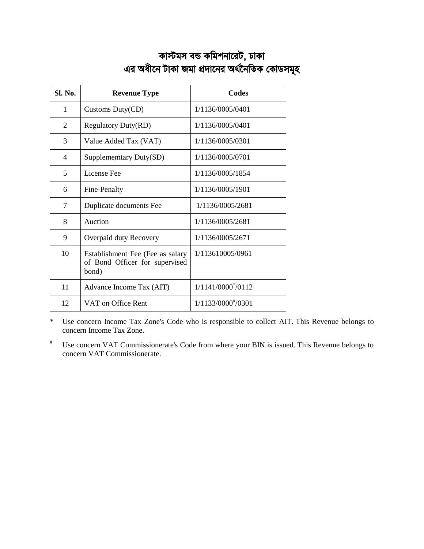# কাস্টমস বন্ড কমিশনারেট, ঢাকা *Gi Aax‡b UvKv Rgv cÖ`v‡bi A\_©‰bwZK †KvWmg~n*

| Sl. No. | <b>Revenue Type</b>                                                         | Codes             |
|---------|-----------------------------------------------------------------------------|-------------------|
| 1       | Customs Duty(CD)                                                            | 1/1136/0005/0401  |
| 2       | <b>Regulatory Duty(RD)</b>                                                  | 1/1136/0005/0401  |
| 3       | Value Added Tax (VAT)                                                       | 1/1136/0005/0301  |
| 4       | Supplememtary Duty(SD)                                                      | 1/1136/0005/0701  |
| 5       | License Fee                                                                 | 1/1136/0005/1854  |
| 6       | Fine-Penalty                                                                | 1/1136/0005/1901  |
| 7       | Duplicate documents Fee                                                     | 1/1136/0005/2681  |
| 8       | Auction                                                                     | 1/1136/0005/2681  |
| 9       | Overpaid duty Recovery                                                      | 1/1136/0005/2671  |
| 10      | Establishment Fee (Fee as salary<br>of Bond Officer for supervised<br>bond) | 1/113610005/0961  |
| 11      | Advance Income Tax (AIT)                                                    | 1/1141/0000*/0112 |
| 12      | VAT on Office Rent                                                          | 1/1133/0000#/0301 |

\* Use concern Income Tax Zone's Code who is responsible to collect AIT. This Revenue belongs to concern Income Tax Zone.

 Use concern VAT Commissionerate's Code from where your BIN is issued. This Revenue belongs to concern VAT Commissionerate.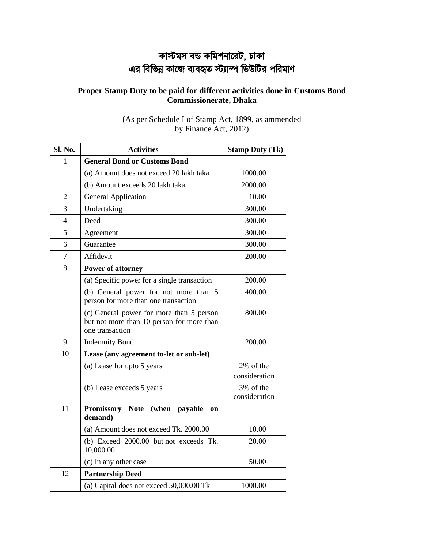# কাস্টমস বন্ড কমিশনারেট, ঢাকা এর বিভিন্ন কাজে ব্যবহৃত স্ট্যাম্প ডিউটির পরিমাণ

## **Proper Stamp Duty to be paid for different activities done in Customs Bond Commissionerate, Dhaka**

| <b>Sl. No.</b> | <b>Activities</b>                                                                                        | <b>Stamp Duty (Tk)</b>     |
|----------------|----------------------------------------------------------------------------------------------------------|----------------------------|
| 1              | <b>General Bond or Customs Bond</b>                                                                      |                            |
|                | (a) Amount does not exceed 20 lakh taka                                                                  | 1000.00                    |
|                | (b) Amount exceeds 20 lakh taka                                                                          | 2000.00                    |
| $\overline{2}$ | <b>General Application</b>                                                                               | 10.00                      |
| 3              | Undertaking                                                                                              | 300.00                     |
| 4              | Deed                                                                                                     | 300.00                     |
| 5              | Agreement                                                                                                | 300.00                     |
| 6              | Guarantee                                                                                                | 300.00                     |
| $\tau$         | Affidevit                                                                                                | 200.00                     |
| 8              | <b>Power of attorney</b>                                                                                 |                            |
|                | (a) Specific power for a single transaction                                                              | 200.00                     |
|                | (b) General power for not more than 5<br>person for more than one transaction                            | 400.00                     |
|                | (c) General power for more than 5 person<br>but not more than 10 person for more than<br>one transaction | 800.00                     |
| 9              | <b>Indemnity Bond</b>                                                                                    | 200.00                     |
| 10             | Lease (any agreement to-let or sub-let)                                                                  |                            |
|                | (a) Lease for upto 5 years                                                                               | 2% of the                  |
|                |                                                                                                          | consideration              |
|                | (b) Lease exceeds 5 years                                                                                | 3% of the<br>consideration |
| 11             | <b>Promissory Note</b><br>(when payable<br>on<br>demand)                                                 |                            |
|                | (a) Amount does not exceed Tk. 2000.00                                                                   | 10.00                      |
|                | (b) Exceed 2000.00 but not exceeds Tk.<br>10,000.00                                                      | 20.00                      |
|                | (c) In any other case                                                                                    | 50.00                      |
| 12             | <b>Partnership Deed</b>                                                                                  |                            |
|                | (a) Capital does not exceed 50,000.00 Tk                                                                 | 1000.00                    |

(As per Schedule I of Stamp Act, 1899, as ammended by Finance Act, 2012)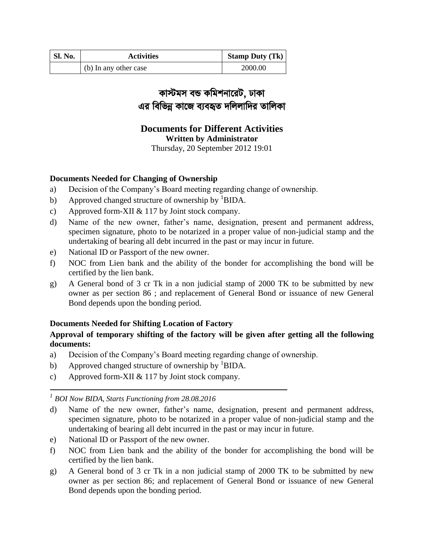| <b>Sl. No.</b> | <b>Activities</b>     | <b>Stamp Duty (Tk)</b> |
|----------------|-----------------------|------------------------|
|                | (b) In any other case | 2000.00                |

# *কাস্টমস ব*ন্ড কমিশনারেট, ঢাকা এর বিভিন্ন কাজে ব্যবহৃত দলিলাদির তালিকা

# **Documents for Different Activities Written by Administrator**

Thursday, 20 September 2012 19:01

## **Documents Needed for Changing of Ownership**

- a) Decision of the Company's Board meeting regarding change of ownership.
- b) Approved changed structure of ownership by  ${}^{1}$ BIDA.
- c) Approved form-XII & 117 by Joint stock company.
- d) Name of the new owner, father's name, designation, present and permanent address, specimen signature, photo to be notarized in a proper value of non-judicial stamp and the undertaking of bearing all debt incurred in the past or may incur in future.
- e) National ID or Passport of the new owner.
- f) NOC from Lien bank and the ability of the bonder for accomplishing the bond will be certified by the lien bank.
- g) A General bond of 3 cr Tk in a non judicial stamp of 2000 TK to be submitted by new owner as per section 86 ; and replacement of General Bond or issuance of new General Bond depends upon the bonding period.

## **Documents Needed for Shifting Location of Factory**

## **Approval of temporary shifting of the factory will be given after getting all the following documents:**

- a) Decision of the Company's Board meeting regarding change of ownership.
- b) Approved changed structure of ownership by  ${}^{1}$ BIDA.
- c) Approved form-XII & 117 by Joint stock company.

*1 BOI Now BIDA, Starts Functioning from 28.08.2016*

- d) Name of the new owner, father's name, designation, present and permanent address, specimen signature, photo to be notarized in a proper value of non-judicial stamp and the undertaking of bearing all debt incurred in the past or may incur in future.
- e) National ID or Passport of the new owner.
- f) NOC from Lien bank and the ability of the bonder for accomplishing the bond will be certified by the lien bank.
- g) A General bond of 3 cr Tk in a non judicial stamp of 2000 TK to be submitted by new owner as per section 86; and replacement of General Bond or issuance of new General Bond depends upon the bonding period.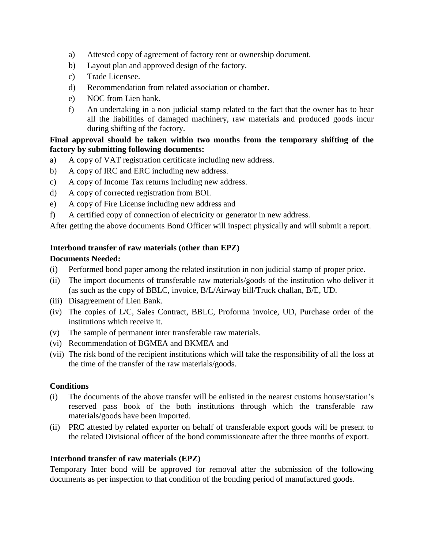- a) Attested copy of agreement of factory rent or ownership document.
- b) Layout plan and approved design of the factory.
- c) Trade Licensee.
- d) Recommendation from related association or chamber.
- e) NOC from Lien bank.
- f) An undertaking in a non judicial stamp related to the fact that the owner has to bear all the liabilities of damaged machinery, raw materials and produced goods incur during shifting of the factory.

## **Final approval should be taken within two months from the temporary shifting of the factory by submitting following documents:**

- a) A copy of VAT registration certificate including new address.
- b) A copy of IRC and ERC including new address.
- c) A copy of Income Tax returns including new address.
- d) A copy of corrected registration from BOI.
- e) A copy of Fire License including new address and
- f) A certified copy of connection of electricity or generator in new address.

After getting the above documents Bond Officer will inspect physically and will submit a report.

## **Interbond transfer of raw materials (other than EPZ)**

## **Documents Needed:**

- (i) Performed bond paper among the related institution in non judicial stamp of proper price.
- (ii) The import documents of transferable raw materials/goods of the institution who deliver it (as such as the copy of BBLC, invoice, B/L/Airway bill/Truck challan, B/E, UD.
- (iii) Disagreement of Lien Bank.
- (iv) The copies of L/C, Sales Contract, BBLC, Proforma invoice, UD, Purchase order of the institutions which receive it.
- (v) The sample of permanent inter transferable raw materials.
- (vi) Recommendation of BGMEA and BKMEA and
- (vii) The risk bond of the recipient institutions which will take the responsibility of all the loss at the time of the transfer of the raw materials/goods.

## **Conditions**

- (i) The documents of the above transfer will be enlisted in the nearest customs house/station's reserved pass book of the both institutions through which the transferable raw materials/goods have been imported.
- (ii) PRC attested by related exporter on behalf of transferable export goods will be present to the related Divisional officer of the bond commissioneate after the three months of export.

## **Interbond transfer of raw materials (EPZ)**

Temporary Inter bond will be approved for removal after the submission of the following documents as per inspection to that condition of the bonding period of manufactured goods.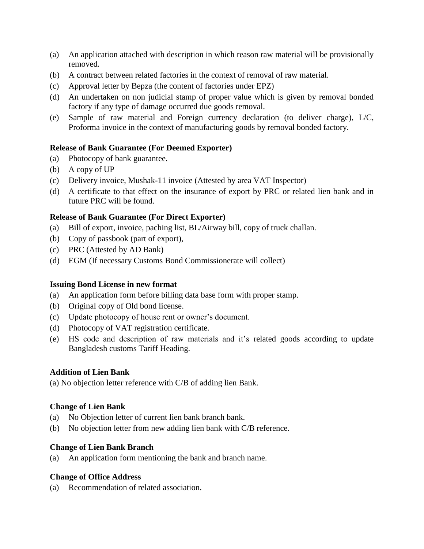- (a) An application attached with description in which reason raw material will be provisionally removed.
- (b) A contract between related factories in the context of removal of raw material.
- (c) Approval letter by Bepza (the content of factories under EPZ)
- (d) An undertaken on non judicial stamp of proper value which is given by removal bonded factory if any type of damage occurred due goods removal.
- (e) Sample of raw material and Foreign currency declaration (to deliver charge), L/C, Proforma invoice in the context of manufacturing goods by removal bonded factory.

#### **Release of Bank Guarantee (For Deemed Exporter)**

- (a) Photocopy of bank guarantee.
- (b) A copy of UP
- (c) Delivery invoice, Mushak-11 invoice (Attested by area VAT Inspector)
- (d) A certificate to that effect on the insurance of export by PRC or related lien bank and in future PRC will be found.

#### **Release of Bank Guarantee (For Direct Exporter)**

- (a) Bill of export, invoice, paching list, BL/Airway bill, copy of truck challan.
- (b) Copy of passbook (part of export),
- (c) PRC (Attested by AD Bank)
- (d) EGM (If necessary Customs Bond Commissionerate will collect)

#### **Issuing Bond License in new format**

- (a) An application form before billing data base form with proper stamp.
- (b) Original copy of Old bond license.
- (c) Update photocopy of house rent or owner's document.
- (d) Photocopy of VAT registration certificate.
- (e) HS code and description of raw materials and it's related goods according to update Bangladesh customs Tariff Heading.

#### **Addition of Lien Bank**

(a) No objection letter reference with C/B of adding lien Bank.

#### **Change of Lien Bank**

- (a) No Objection letter of current lien bank branch bank.
- (b) No objection letter from new adding lien bank with C/B reference.

#### **Change of Lien Bank Branch**

(a) An application form mentioning the bank and branch name.

## **Change of Office Address**

(a) Recommendation of related association.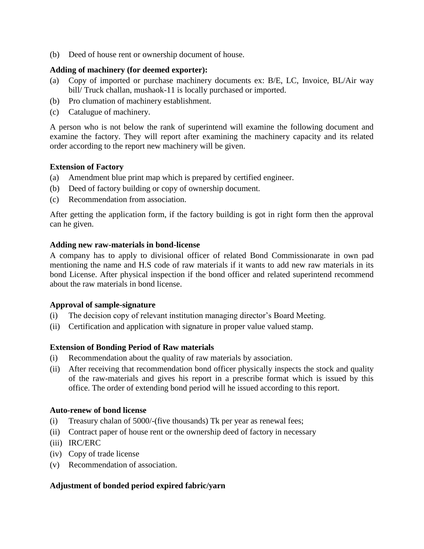(b) Deed of house rent or ownership document of house.

#### **Adding of machinery (for deemed exporter):**

- (a) Copy of imported or purchase machinery documents ex: B/E, LC, Invoice, BL/Air way bill/ Truck challan, mushaok-11 is locally purchased or imported.
- (b) Pro clumation of machinery establishment.
- (c) Catalugue of machinery.

A person who is not below the rank of superintend will examine the following document and examine the factory. They will report after examining the machinery capacity and its related order according to the report new machinery will be given.

#### **Extension of Factory**

- (a) Amendment blue print map which is prepared by certified engineer.
- (b) Deed of factory building or copy of ownership document.
- (c) Recommendation from association.

After getting the application form, if the factory building is got in right form then the approval can he given.

#### **Adding new raw-materials in bond-license**

A company has to apply to divisional officer of related Bond Commissionarate in own pad mentioning the name and H.S code of raw materials if it wants to add new raw materials in its bond License. After physical inspection if the bond officer and related superintend recommend about the raw materials in bond license.

#### **Approval of sample-signature**

- (i) The decision copy of relevant institution managing director's Board Meeting.
- (ii) Certification and application with signature in proper value valued stamp.

## **Extension of Bonding Period of Raw materials**

- (i) Recommendation about the quality of raw materials by association.
- (ii) After receiving that recommendation bond officer physically inspects the stock and quality of the raw-materials and gives his report in a prescribe format which is issued by this office. The order of extending bond period will he issued according to this report.

#### **Auto-renew of bond license**

- (i) Treasury chalan of 5000/-(five thousands) Tk per year as renewal fees;
- (ii) Contract paper of house rent or the ownership deed of factory in necessary
- (iii) IRC/ERC
- (iv) Copy of trade license
- (v) Recommendation of association.

## **Adjustment of bonded period expired fabric/yarn**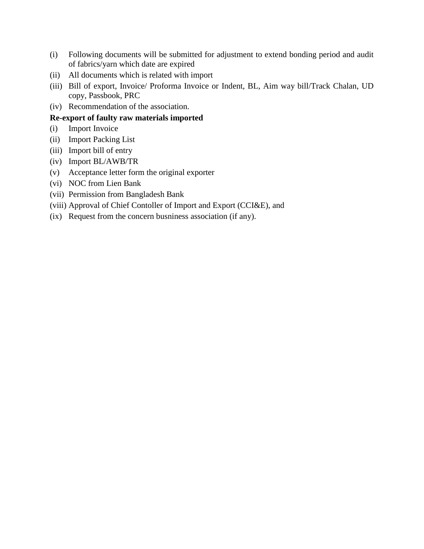- (i) Following documents will be submitted for adjustment to extend bonding period and audit of fabrics/yarn which date are expired
- (ii) All documents which is related with import
- (iii) Bill of export, Invoice/ Proforma Invoice or Indent, BL, Aim way bill/Track Chalan, UD copy, Passbook, PRC
- (iv) Recommendation of the association.

## **Re-export of faulty raw materials imported**

- (i) Import Invoice
- (ii) Import Packing List
- (iii) Import bill of entry
- (iv) Import BL/AWB/TR
- (v) Acceptance letter form the original exporter
- (vi) NOC from Lien Bank
- (vii) Permission from Bangladesh Bank
- (viii) Approval of Chief Contoller of Import and Export (CCI&E), and
- (ix) Request from the concern busniness association (if any).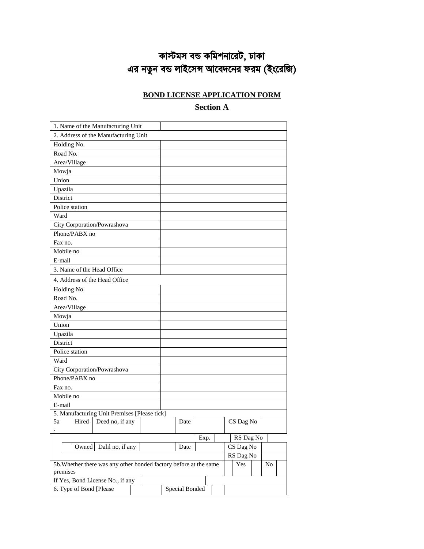# *কাস্টমস* বন্ড কমিশনারেট, ঢাকা *Gi bZzb eÛ jvB‡mÝ Av‡e`‡bi dig (Bs‡iwR)*

## **BOND LICENSE APPLICATION FORM**

## **Section A**

| 2. Address of the Manufacturing Unit<br>Holding No.<br>Road No.<br>Area/Village<br>Mowja<br>Union<br>Upazila<br>District<br>Police station<br>Ward<br>City Corporation/Powrashova<br>Phone/PABX no<br>Fax no.<br>Mobile no<br>E-mail<br>3. Name of the Head Office<br>4. Address of the Head Office<br>Holding No.<br>Road No.<br>Area/Village<br>Mowja<br>Union<br>Upazila<br>District<br>Police station<br>Ward<br>City Corporation/Powrashova<br>Phone/PABX no<br>Fax no.<br>Mobile no<br>E-mail<br>5. Manufacturing Unit Premises [Please tick]<br>5a<br>Hired<br>Deed no, if any<br>CS Dag No<br>Date<br>RS Dag No<br>Exp.<br>Dalil no, if any<br>CS Dag No<br>Owned<br>Date<br>RS Dag No<br>5b. Whether there was any other bonded factory before at the same<br>Yes<br>No<br>premises<br>If Yes, Bond License No., if any<br><b>Special Bonded</b> | 1. Name of the Manufacturing Unit |  |  |  |  |  |
|-----------------------------------------------------------------------------------------------------------------------------------------------------------------------------------------------------------------------------------------------------------------------------------------------------------------------------------------------------------------------------------------------------------------------------------------------------------------------------------------------------------------------------------------------------------------------------------------------------------------------------------------------------------------------------------------------------------------------------------------------------------------------------------------------------------------------------------------------------------|-----------------------------------|--|--|--|--|--|
|                                                                                                                                                                                                                                                                                                                                                                                                                                                                                                                                                                                                                                                                                                                                                                                                                                                           |                                   |  |  |  |  |  |
|                                                                                                                                                                                                                                                                                                                                                                                                                                                                                                                                                                                                                                                                                                                                                                                                                                                           |                                   |  |  |  |  |  |
|                                                                                                                                                                                                                                                                                                                                                                                                                                                                                                                                                                                                                                                                                                                                                                                                                                                           |                                   |  |  |  |  |  |
|                                                                                                                                                                                                                                                                                                                                                                                                                                                                                                                                                                                                                                                                                                                                                                                                                                                           |                                   |  |  |  |  |  |
|                                                                                                                                                                                                                                                                                                                                                                                                                                                                                                                                                                                                                                                                                                                                                                                                                                                           |                                   |  |  |  |  |  |
|                                                                                                                                                                                                                                                                                                                                                                                                                                                                                                                                                                                                                                                                                                                                                                                                                                                           |                                   |  |  |  |  |  |
|                                                                                                                                                                                                                                                                                                                                                                                                                                                                                                                                                                                                                                                                                                                                                                                                                                                           |                                   |  |  |  |  |  |
|                                                                                                                                                                                                                                                                                                                                                                                                                                                                                                                                                                                                                                                                                                                                                                                                                                                           |                                   |  |  |  |  |  |
|                                                                                                                                                                                                                                                                                                                                                                                                                                                                                                                                                                                                                                                                                                                                                                                                                                                           |                                   |  |  |  |  |  |
|                                                                                                                                                                                                                                                                                                                                                                                                                                                                                                                                                                                                                                                                                                                                                                                                                                                           |                                   |  |  |  |  |  |
|                                                                                                                                                                                                                                                                                                                                                                                                                                                                                                                                                                                                                                                                                                                                                                                                                                                           |                                   |  |  |  |  |  |
|                                                                                                                                                                                                                                                                                                                                                                                                                                                                                                                                                                                                                                                                                                                                                                                                                                                           |                                   |  |  |  |  |  |
|                                                                                                                                                                                                                                                                                                                                                                                                                                                                                                                                                                                                                                                                                                                                                                                                                                                           |                                   |  |  |  |  |  |
|                                                                                                                                                                                                                                                                                                                                                                                                                                                                                                                                                                                                                                                                                                                                                                                                                                                           |                                   |  |  |  |  |  |
|                                                                                                                                                                                                                                                                                                                                                                                                                                                                                                                                                                                                                                                                                                                                                                                                                                                           |                                   |  |  |  |  |  |
|                                                                                                                                                                                                                                                                                                                                                                                                                                                                                                                                                                                                                                                                                                                                                                                                                                                           |                                   |  |  |  |  |  |
|                                                                                                                                                                                                                                                                                                                                                                                                                                                                                                                                                                                                                                                                                                                                                                                                                                                           |                                   |  |  |  |  |  |
|                                                                                                                                                                                                                                                                                                                                                                                                                                                                                                                                                                                                                                                                                                                                                                                                                                                           |                                   |  |  |  |  |  |
|                                                                                                                                                                                                                                                                                                                                                                                                                                                                                                                                                                                                                                                                                                                                                                                                                                                           |                                   |  |  |  |  |  |
|                                                                                                                                                                                                                                                                                                                                                                                                                                                                                                                                                                                                                                                                                                                                                                                                                                                           |                                   |  |  |  |  |  |
|                                                                                                                                                                                                                                                                                                                                                                                                                                                                                                                                                                                                                                                                                                                                                                                                                                                           |                                   |  |  |  |  |  |
|                                                                                                                                                                                                                                                                                                                                                                                                                                                                                                                                                                                                                                                                                                                                                                                                                                                           |                                   |  |  |  |  |  |
|                                                                                                                                                                                                                                                                                                                                                                                                                                                                                                                                                                                                                                                                                                                                                                                                                                                           |                                   |  |  |  |  |  |
|                                                                                                                                                                                                                                                                                                                                                                                                                                                                                                                                                                                                                                                                                                                                                                                                                                                           |                                   |  |  |  |  |  |
|                                                                                                                                                                                                                                                                                                                                                                                                                                                                                                                                                                                                                                                                                                                                                                                                                                                           |                                   |  |  |  |  |  |
|                                                                                                                                                                                                                                                                                                                                                                                                                                                                                                                                                                                                                                                                                                                                                                                                                                                           |                                   |  |  |  |  |  |
|                                                                                                                                                                                                                                                                                                                                                                                                                                                                                                                                                                                                                                                                                                                                                                                                                                                           |                                   |  |  |  |  |  |
|                                                                                                                                                                                                                                                                                                                                                                                                                                                                                                                                                                                                                                                                                                                                                                                                                                                           |                                   |  |  |  |  |  |
|                                                                                                                                                                                                                                                                                                                                                                                                                                                                                                                                                                                                                                                                                                                                                                                                                                                           |                                   |  |  |  |  |  |
|                                                                                                                                                                                                                                                                                                                                                                                                                                                                                                                                                                                                                                                                                                                                                                                                                                                           |                                   |  |  |  |  |  |
|                                                                                                                                                                                                                                                                                                                                                                                                                                                                                                                                                                                                                                                                                                                                                                                                                                                           |                                   |  |  |  |  |  |
|                                                                                                                                                                                                                                                                                                                                                                                                                                                                                                                                                                                                                                                                                                                                                                                                                                                           |                                   |  |  |  |  |  |
|                                                                                                                                                                                                                                                                                                                                                                                                                                                                                                                                                                                                                                                                                                                                                                                                                                                           |                                   |  |  |  |  |  |
|                                                                                                                                                                                                                                                                                                                                                                                                                                                                                                                                                                                                                                                                                                                                                                                                                                                           |                                   |  |  |  |  |  |
|                                                                                                                                                                                                                                                                                                                                                                                                                                                                                                                                                                                                                                                                                                                                                                                                                                                           |                                   |  |  |  |  |  |
|                                                                                                                                                                                                                                                                                                                                                                                                                                                                                                                                                                                                                                                                                                                                                                                                                                                           |                                   |  |  |  |  |  |
|                                                                                                                                                                                                                                                                                                                                                                                                                                                                                                                                                                                                                                                                                                                                                                                                                                                           |                                   |  |  |  |  |  |
|                                                                                                                                                                                                                                                                                                                                                                                                                                                                                                                                                                                                                                                                                                                                                                                                                                                           |                                   |  |  |  |  |  |
|                                                                                                                                                                                                                                                                                                                                                                                                                                                                                                                                                                                                                                                                                                                                                                                                                                                           |                                   |  |  |  |  |  |
|                                                                                                                                                                                                                                                                                                                                                                                                                                                                                                                                                                                                                                                                                                                                                                                                                                                           | 6. Type of Bond [Please           |  |  |  |  |  |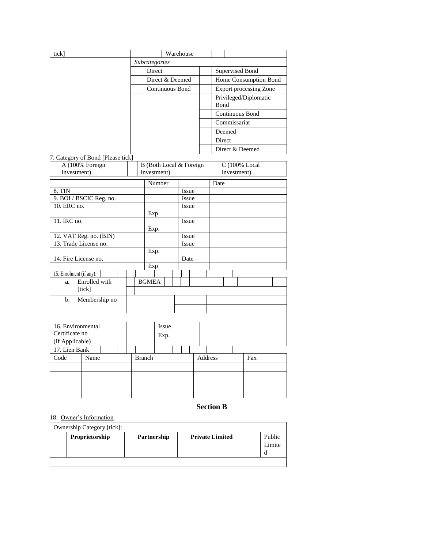| tick]                                  |               | Warehouse     |             |                         |  |                |  |         |                       |      |                               |  |  |     |  |  |  |
|----------------------------------------|---------------|---------------|-------------|-------------------------|--|----------------|--|---------|-----------------------|------|-------------------------------|--|--|-----|--|--|--|
|                                        | Subcategories |               |             |                         |  |                |  |         |                       |      |                               |  |  |     |  |  |  |
|                                        |               |               | Direct      |                         |  |                |  |         |                       |      | Supervised Bond               |  |  |     |  |  |  |
|                                        |               |               |             | Direct & Deemed         |  |                |  |         | Home Consumption Bond |      |                               |  |  |     |  |  |  |
|                                        |               |               |             | Continuous Bond         |  |                |  |         |                       |      | <b>Export processing Zone</b> |  |  |     |  |  |  |
|                                        |               |               |             |                         |  |                |  |         |                       |      | Privileged/Diplomatic         |  |  |     |  |  |  |
|                                        |               |               |             |                         |  |                |  |         |                       |      | Bond                          |  |  |     |  |  |  |
|                                        |               |               |             |                         |  |                |  |         |                       |      | Continuous Bond               |  |  |     |  |  |  |
|                                        |               |               |             |                         |  |                |  |         |                       |      | Commissariat                  |  |  |     |  |  |  |
|                                        |               |               |             |                         |  |                |  |         |                       |      | Deemed                        |  |  |     |  |  |  |
|                                        |               |               |             |                         |  |                |  |         |                       |      | Direct                        |  |  |     |  |  |  |
|                                        |               |               |             |                         |  |                |  |         |                       |      | Direct & Deemed               |  |  |     |  |  |  |
| 7. Category of Bond [Please tick]      |               |               |             |                         |  |                |  |         |                       |      |                               |  |  |     |  |  |  |
| A (100% Foreign                        |               |               |             | B (Both Local & Foreign |  |                |  |         |                       |      | C (100% Local                 |  |  |     |  |  |  |
| investment)                            |               |               | investment) |                         |  |                |  |         |                       |      | investment)                   |  |  |     |  |  |  |
|                                        |               |               | Number      |                         |  |                |  |         |                       | Date |                               |  |  |     |  |  |  |
| 8. TIN                                 |               |               |             |                         |  | Issue          |  |         |                       |      |                               |  |  |     |  |  |  |
| 9. BOI / BSCIC Reg. no.<br>10. ERC no. |               |               |             |                         |  | Issue<br>Issue |  |         |                       |      |                               |  |  |     |  |  |  |
|                                        |               | Exp.          |             |                         |  |                |  |         |                       |      |                               |  |  |     |  |  |  |
| 11. IRC no.                            |               |               |             |                         |  | Issue          |  |         |                       |      |                               |  |  |     |  |  |  |
|                                        |               | Exp.          |             |                         |  |                |  |         |                       |      |                               |  |  |     |  |  |  |
| 12. VAT Reg. no. (BIN)                 |               |               |             |                         |  | Issue          |  |         |                       |      |                               |  |  |     |  |  |  |
| 13. Trade License no.                  |               |               |             |                         |  | Issue          |  |         |                       |      |                               |  |  |     |  |  |  |
|                                        |               | Exp.          |             |                         |  |                |  |         |                       |      |                               |  |  |     |  |  |  |
| 14. Fire License no.                   |               | Exp           |             |                         |  | Date           |  |         |                       |      |                               |  |  |     |  |  |  |
| 15. Enrolment (if any):                |               |               |             |                         |  |                |  |         |                       |      |                               |  |  |     |  |  |  |
| Enrolled with<br>a.                    |               | <b>BGMEA</b>  |             |                         |  |                |  |         |                       |      |                               |  |  |     |  |  |  |
| [tick]                                 |               |               |             |                         |  |                |  |         |                       |      |                               |  |  |     |  |  |  |
| Membership no<br>b.                    |               |               |             |                         |  |                |  |         |                       |      |                               |  |  |     |  |  |  |
|                                        |               |               |             |                         |  |                |  |         |                       |      |                               |  |  |     |  |  |  |
|                                        |               |               |             |                         |  |                |  |         |                       |      |                               |  |  |     |  |  |  |
| 16. Environmental                      |               |               |             | Issue                   |  |                |  |         |                       |      |                               |  |  |     |  |  |  |
| Certificate no                         |               |               |             | Exp.                    |  |                |  |         |                       |      |                               |  |  |     |  |  |  |
| (If Applicable)                        |               |               |             |                         |  |                |  |         |                       |      |                               |  |  |     |  |  |  |
| 17. Lien Bank                          |               |               |             |                         |  |                |  |         |                       |      |                               |  |  |     |  |  |  |
| Code<br>Name                           |               | <b>Branch</b> |             |                         |  |                |  | Address |                       |      |                               |  |  | Fax |  |  |  |
|                                        |               |               |             |                         |  |                |  |         |                       |      |                               |  |  |     |  |  |  |
|                                        |               |               |             |                         |  |                |  |         |                       |      |                               |  |  |     |  |  |  |
|                                        |               |               |             |                         |  |                |  |         |                       |      |                               |  |  |     |  |  |  |
|                                        |               |               |             |                         |  |                |  |         |                       |      |                               |  |  |     |  |  |  |

#### **Section B**

## 18. Owner's Information

|  | Ownership Category [tick]: |             |                        |                  |
|--|----------------------------|-------------|------------------------|------------------|
|  | Proprietorship             | Partnership | <b>Private Limited</b> | Public<br>Limite |
|  |                            |             |                        |                  |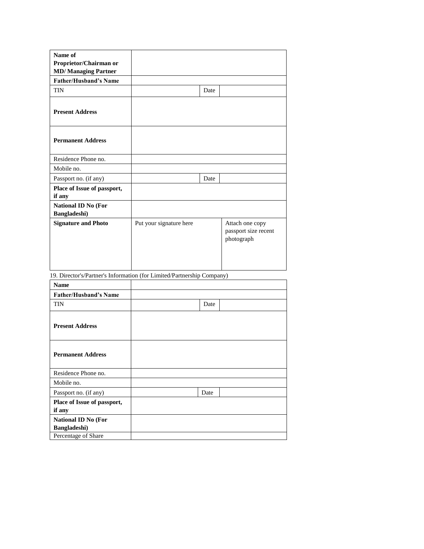| Name of                               |                         |      |                                                       |
|---------------------------------------|-------------------------|------|-------------------------------------------------------|
| Proprietor/Chairman or                |                         |      |                                                       |
| <b>MD/Managing Partner</b>            |                         |      |                                                       |
| <b>Father/Husband's Name</b>          |                         |      |                                                       |
| <b>TIN</b>                            |                         | Date |                                                       |
| <b>Present Address</b>                |                         |      |                                                       |
| <b>Permanent Address</b>              |                         |      |                                                       |
| Residence Phone no.                   |                         |      |                                                       |
| Mobile no.                            |                         |      |                                                       |
| Passport no. (if any)                 |                         | Date |                                                       |
| Place of Issue of passport,<br>if any |                         |      |                                                       |
| National ID No (For<br>Bangladeshi)   |                         |      |                                                       |
| <b>Signature and Photo</b>            | Put your signature here |      | Attach one copy<br>passport size recent<br>photograph |

19. Director's/Partner's Information (for Limited/Partnership Company)

| <b>Name</b>                                |      |  |
|--------------------------------------------|------|--|
| <b>Father/Husband's Name</b>               |      |  |
| <b>TIN</b>                                 | Date |  |
| <b>Present Address</b>                     |      |  |
| <b>Permanent Address</b>                   |      |  |
| Residence Phone no.                        |      |  |
| Mobile no.                                 |      |  |
| Passport no. (if any)                      | Date |  |
| Place of Issue of passport,<br>if any      |      |  |
| <b>National ID No (For</b><br>Bangladeshi) |      |  |
| Percentage of Share                        |      |  |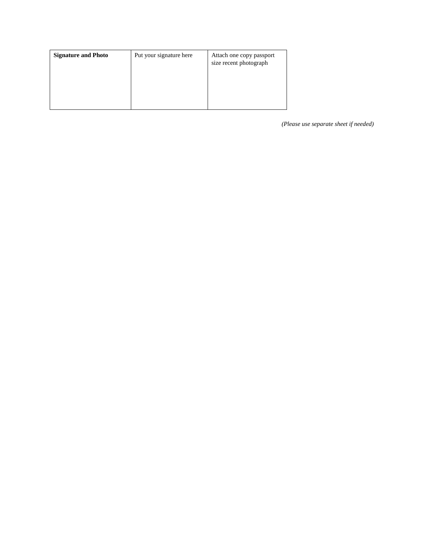| <b>Signature and Photo</b> | Put your signature here | Attach one copy passport<br>size recent photograph |
|----------------------------|-------------------------|----------------------------------------------------|
|                            |                         |                                                    |

*(Please use separate sheet if needed)*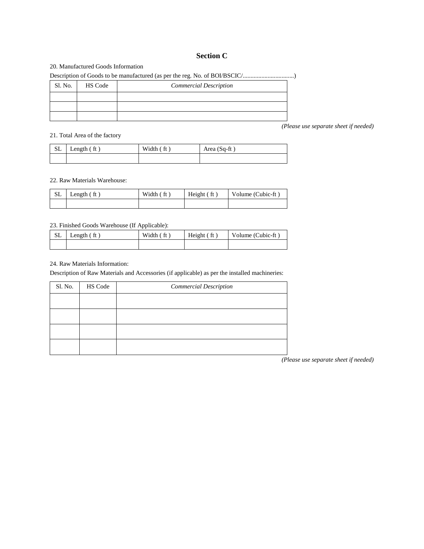#### **Section C**

#### 20. Manufactured Goods Information

Description of Goods to be manufactured (as per the reg. No. of BOI/BSCIC/.................................)

| Sl. No. | HS Code | <b>Commercial Description</b> |
|---------|---------|-------------------------------|
|         |         |                               |
|         |         |                               |
|         |         |                               |

21. Total Area of the factory

| $SL$ Length (ft) | Width (ft) | Area $(Sq-ft)$ |
|------------------|------------|----------------|
|                  |            |                |

#### 22. Raw Materials Warehouse:

| $SL$ Length $(ft)$ | Width (ft) | Height (ft) | Volume (Cubic-ft) |
|--------------------|------------|-------------|-------------------|
|                    |            |             |                   |

#### 23. Finished Goods Warehouse (If Applicable):

| <b>SL</b> | Length $(ft)$ | Width $(ft)$ | Height $($ ft $)$ | Volume (Cubic-ft) |
|-----------|---------------|--------------|-------------------|-------------------|
|           |               |              |                   |                   |

#### 24. Raw Materials Information:

Description of Raw Materials and Accessories (if applicable) as per the installed machineries:

| Sl. No. | HS Code | <b>Commercial Description</b> |
|---------|---------|-------------------------------|
|         |         |                               |
|         |         |                               |
|         |         |                               |
|         |         |                               |

*(Please use separate sheet if needed)*

*(Please use separate sheet if needed)*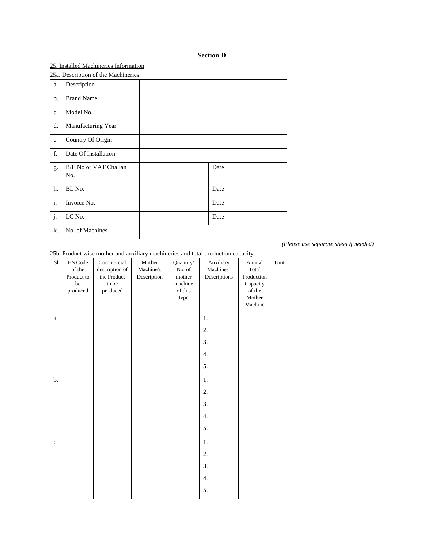#### **Section D**

#### 25. Installed Machineries Information

25a. Description of the Machineries:

|                | -- -- ----                   |      |  |
|----------------|------------------------------|------|--|
| a.             | Description                  |      |  |
| b.             | <b>Brand Name</b>            |      |  |
| c.             | Model No.                    |      |  |
| d.             | Manufacturing Year           |      |  |
| e.             | Country Of Origin            |      |  |
| $\mathbf f$    | Date Of Installation         |      |  |
| g.             | B/E No or VAT Challan<br>No. | Date |  |
| h.             | BL No.                       | Date |  |
| $\mathbf{i}$ . | Invoice No.                  | Date |  |
| j.             | LC No.                       | Date |  |
| k.             | No. of Machines              |      |  |

*(Please use separate sheet if needed)*

25b. Product wise mother and auxiliary machineries and total production capacity:

| S1             | HS Code<br>of the<br>Product to<br>be<br>produced | Commercial<br>description of<br>the Product<br>to be<br>$\operatorname{produced}$ | Mother<br>Machine's<br>Description | Quantity/<br>No. of<br>mother<br>machine<br>of this<br>type | Auxiliary<br>Machines'<br>Descriptions | Annual<br>Total<br>Production<br>Capacity<br>of the<br>Mother<br>Machine | Unit |
|----------------|---------------------------------------------------|-----------------------------------------------------------------------------------|------------------------------------|-------------------------------------------------------------|----------------------------------------|--------------------------------------------------------------------------|------|
| a.             |                                                   |                                                                                   |                                    |                                                             | 1.                                     |                                                                          |      |
|                |                                                   |                                                                                   |                                    |                                                             | 2.                                     |                                                                          |      |
|                |                                                   |                                                                                   |                                    |                                                             | 3.                                     |                                                                          |      |
|                |                                                   |                                                                                   |                                    |                                                             | 4.                                     |                                                                          |      |
|                |                                                   |                                                                                   |                                    |                                                             | 5.                                     |                                                                          |      |
| b.             |                                                   |                                                                                   |                                    |                                                             | $1.$                                   |                                                                          |      |
|                |                                                   |                                                                                   |                                    |                                                             | 2.                                     |                                                                          |      |
|                |                                                   |                                                                                   |                                    |                                                             | 3.                                     |                                                                          |      |
|                |                                                   |                                                                                   |                                    |                                                             | 4.                                     |                                                                          |      |
|                |                                                   |                                                                                   |                                    |                                                             | 5.                                     |                                                                          |      |
| $\mathbf{c}$ . |                                                   |                                                                                   |                                    |                                                             | $1.$                                   |                                                                          |      |
|                |                                                   |                                                                                   |                                    |                                                             | 2.                                     |                                                                          |      |
|                |                                                   |                                                                                   |                                    |                                                             | 3.                                     |                                                                          |      |
|                |                                                   |                                                                                   |                                    |                                                             | 4.                                     |                                                                          |      |
|                |                                                   |                                                                                   |                                    |                                                             | 5.                                     |                                                                          |      |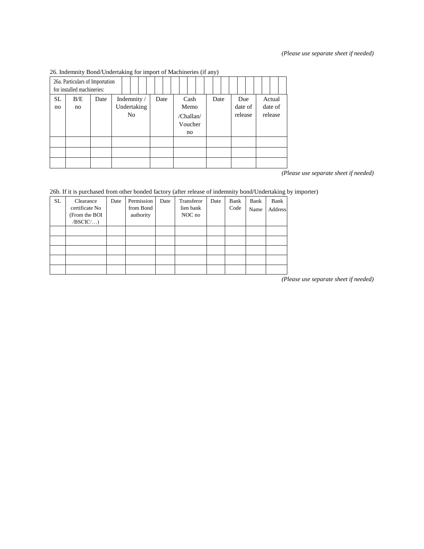#### *(Please use separate sheet if needed)*

|           | ---------<br>26a. Particulars of Importation<br>for installed machineries: |      | ⊸                                            |      |                                            |      |                           |                              |
|-----------|----------------------------------------------------------------------------|------|----------------------------------------------|------|--------------------------------------------|------|---------------------------|------------------------------|
| SL.<br>no | B/E<br>no                                                                  | Date | Indemnity /<br>Undertaking<br>N <sub>0</sub> | Date | Cash<br>Memo<br>/Challan/<br>Voucher<br>no | Date | Due<br>date of<br>release | Actual<br>date of<br>release |
|           |                                                                            |      |                                              |      |                                            |      |                           |                              |

26. Indemnity Bond/Undertaking for import of Machineries (if any)

*(Please use separate sheet if needed)*

#### 26b. If it is purchased from other bonded factory (after release of indemnity bond/Undertaking by importer)

| <b>SL</b> | Clearance<br>certificate No<br>From the BOI<br>/BSCIC/ | Date | Permission<br>from Bond<br>authority | Date | Transferor<br>lien bank<br>NOC no | Date | Bank<br>Code | Bank<br>Name | Bank<br><b>Address</b> |
|-----------|--------------------------------------------------------|------|--------------------------------------|------|-----------------------------------|------|--------------|--------------|------------------------|
|           |                                                        |      |                                      |      |                                   |      |              |              |                        |
|           |                                                        |      |                                      |      |                                   |      |              |              |                        |
|           |                                                        |      |                                      |      |                                   |      |              |              |                        |
|           |                                                        |      |                                      |      |                                   |      |              |              |                        |
|           |                                                        |      |                                      |      |                                   |      |              |              |                        |

*(Please use separate sheet if needed)*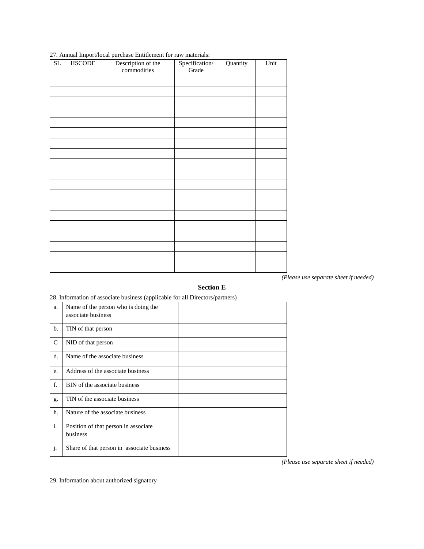| $\overline{\text{SL}}$ | <b>HSCODE</b> | Description of the<br>commodities | Specification/<br>Grade | Quantity | Unit |
|------------------------|---------------|-----------------------------------|-------------------------|----------|------|
|                        |               |                                   |                         |          |      |
|                        |               |                                   |                         |          |      |
|                        |               |                                   |                         |          |      |
|                        |               |                                   |                         |          |      |
|                        |               |                                   |                         |          |      |
|                        |               |                                   |                         |          |      |
|                        |               |                                   |                         |          |      |
|                        |               |                                   |                         |          |      |
|                        |               |                                   |                         |          |      |
|                        |               |                                   |                         |          |      |
|                        |               |                                   |                         |          |      |
|                        |               |                                   |                         |          |      |
|                        |               |                                   |                         |          |      |
|                        |               |                                   |                         |          |      |
|                        |               |                                   |                         |          |      |
|                        |               |                                   |                         |          |      |
|                        |               |                                   |                         |          |      |
|                        |               |                                   |                         |          |      |
|                        |               |                                   |                         |          |      |

#### 27. Annual Import/local purchase Entitlement for raw materials:

*(Please use separate sheet if needed)*

#### **Section E**

#### 28. Information of associate business (applicable for all Directors/partners)

| a. | Name of the person who is doing the<br>associate business |  |
|----|-----------------------------------------------------------|--|
| b. | TIN of that person                                        |  |
| C  | NID of that person                                        |  |
| d. | Name of the associate business                            |  |
| e. | Address of the associate business                         |  |
| f. | BIN of the associate business                             |  |
| g. | TIN of the associate business                             |  |
| h. | Nature of the associate business                          |  |
| i. | Position of that person in associate<br>business          |  |
| j. | Share of that person in associate business                |  |

*(Please use separate sheet if needed)*

29. Information about authorized signatory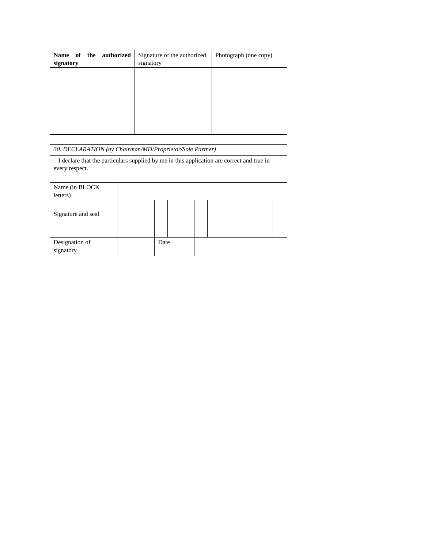| signatory | signatory |
|-----------|-----------|
|           |           |
|           |           |
|           |           |
|           |           |

| 30. DECLARATION (by Chairman/MD/Proprietor/Sole Partner)                                                    |      |  |  |  |  |
|-------------------------------------------------------------------------------------------------------------|------|--|--|--|--|
| I declare that the particulars supplied by me in this application are correct and true in<br>every respect. |      |  |  |  |  |
| Name (in BLOCK)<br>letters)                                                                                 |      |  |  |  |  |
| Signature and seal                                                                                          |      |  |  |  |  |
| Designation of<br>signatory                                                                                 | Date |  |  |  |  |